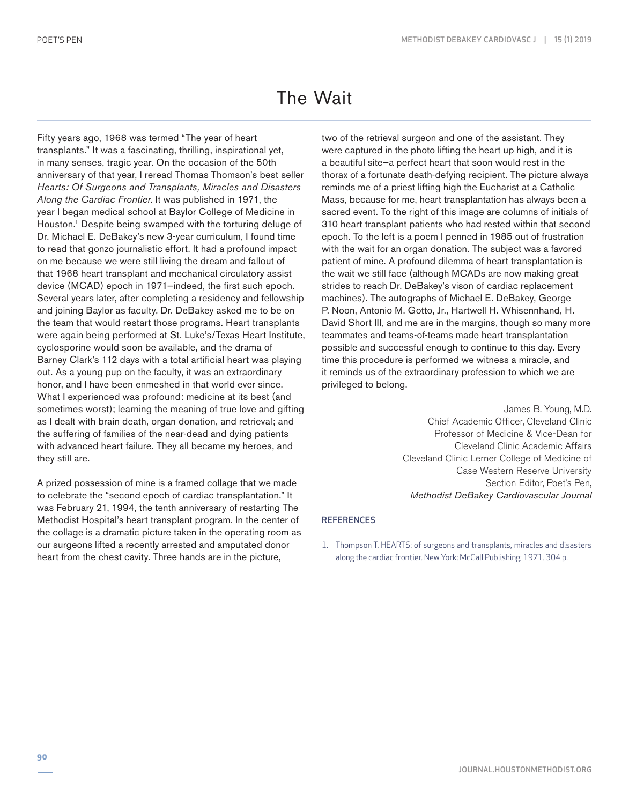## The Wait

Fifty years ago, 1968 was termed "The year of heart transplants." It was a fascinating, thrilling, inspirational yet, in many senses, tragic year. On the occasion of the 50th anniversary of that year, I reread Thomas Thomson's best seller *Hearts: Of Surgeons and Transplants, Miracles and Disasters Along the Cardiac Frontier*. It was published in 1971, the year I began medical school at Baylor College of Medicine in Houston.<sup>1</sup> Despite being swamped with the torturing deluge of Dr. Michael E. DeBakey's new 3-year curriculum, I found time to read that gonzo journalistic effort. It had a profound impact on me because we were still living the dream and fallout of that 1968 heart transplant and mechanical circulatory assist device (MCAD) epoch in 1971—indeed, the first such epoch. Several years later, after completing a residency and fellowship and joining Baylor as faculty, Dr. DeBakey asked me to be on the team that would restart those programs. Heart transplants were again being performed at St. Luke's/Texas Heart Institute, cyclosporine would soon be available, and the drama of Barney Clark's 112 days with a total artificial heart was playing out. As a young pup on the faculty, it was an extraordinary honor, and I have been enmeshed in that world ever since. What I experienced was profound: medicine at its best (and sometimes worst); learning the meaning of true love and gifting as I dealt with brain death, organ donation, and retrieval; and the suffering of families of the near-dead and dying patients with advanced heart failure. They all became my heroes, and they still are.

A prized possession of mine is a framed collage that we made to celebrate the "second epoch of cardiac transplantation." It was February 21, 1994, the tenth anniversary of restarting The Methodist Hospital's heart transplant program. In the center of the collage is a dramatic picture taken in the operating room as our surgeons lifted a recently arrested and amputated donor heart from the chest cavity. Three hands are in the picture,

two of the retrieval surgeon and one of the assistant. They were captured in the photo lifting the heart up high, and it is a beautiful site—a perfect heart that soon would rest in the thorax of a fortunate death-defying recipient. The picture always reminds me of a priest lifting high the Eucharist at a Catholic Mass, because for me, heart transplantation has always been a sacred event. To the right of this image are columns of initials of 310 heart transplant patients who had rested within that second epoch. To the left is a poem I penned in 1985 out of frustration with the wait for an organ donation. The subject was a favored patient of mine. A profound dilemma of heart transplantation is the wait we still face (although MCADs are now making great strides to reach Dr. DeBakey's vison of cardiac replacement machines). The autographs of Michael E. DeBakey, George P. Noon, Antonio M. Gotto, Jr., Hartwell H. Whisennhand, H. David Short III, and me are in the margins, though so many more teammates and teams-of-teams made heart transplantation possible and successful enough to continue to this day. Every time this procedure is performed we witness a miracle, and it reminds us of the extraordinary profession to which we are privileged to belong.

> James B. Young, M.D. Chief Academic Officer, Cleveland Clinic Professor of Medicine & Vice-Dean for Cleveland Clinic Academic Affairs Cleveland Clinic Lerner College of Medicine of Case Western Reserve University Section Editor, Poet's Pen, *Methodist DeBakey Cardiovascular Journal*

## **REFERENCES**

1. Thompson T. HEARTS: of surgeons and transplants, miracles and disasters along the cardiac frontier. New York: McCall Publishing; 1971. 304 p.